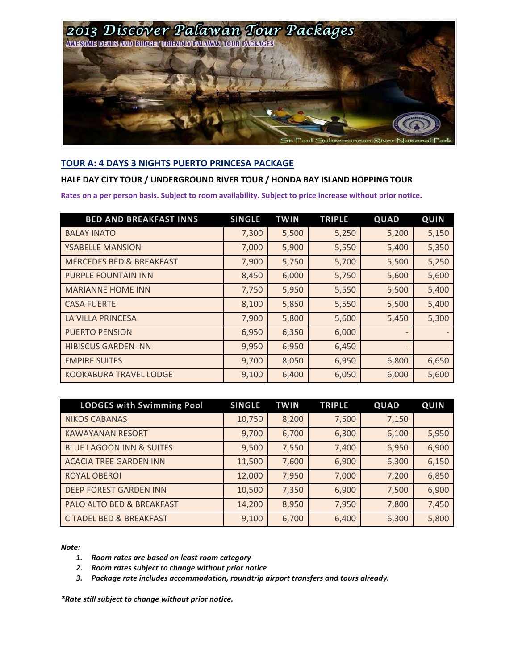

## **TOUR A: 4 DAYS 3 NIGHTS PUERTO PRINCESA PACKAGE**

### **HALF DAY CITY TOUR / UNDERGROUND RIVER TOUR / HONDA BAY ISLAND HOPPING TOUR**

**Rates on a per person basis. Subject to room availability. Subject to price increase without prior notice.**

| <b>BED AND BREAKFAST INNS</b>       | <b>SINGLE</b> | <b>TWIN</b> | <b>TRIPLE</b> | QUAD                     | QUIN  |
|-------------------------------------|---------------|-------------|---------------|--------------------------|-------|
| <b>BALAY INATO</b>                  | 7,300         | 5,500       | 5,250         | 5,200                    | 5,150 |
| <b>YSABELLE MANSION</b>             | 7,000         | 5,900       | 5,550         | 5,400                    | 5,350 |
| <b>MERCEDES BED &amp; BREAKFAST</b> | 7,900         | 5,750       | 5,700         | 5,500                    | 5,250 |
| <b>PURPLE FOUNTAIN INN</b>          | 8,450         | 6,000       | 5,750         | 5,600                    | 5,600 |
| <b>MARIANNE HOME INN</b>            | 7,750         | 5,950       | 5,550         | 5,500                    | 5,400 |
| <b>CASA FUERTE</b>                  | 8,100         | 5,850       | 5,550         | 5,500                    | 5,400 |
| <b>LA VILLA PRINCESA</b>            | 7,900         | 5,800       | 5,600         | 5,450                    | 5,300 |
| <b>PUERTO PENSION</b>               | 6,950         | 6,350       | 6,000         | $\qquad \qquad -$        |       |
| <b>HIBISCUS GARDEN INN</b>          | 9,950         | 6,950       | 6,450         | $\overline{\phantom{a}}$ |       |
| <b>EMPIRE SUITES</b>                | 9,700         | 8,050       | 6,950         | 6,800                    | 6,650 |
| <b>KOOKABURA TRAVEL LODGE</b>       | 9,100         | 6,400       | 6,050         | 6,000                    | 5,600 |

| <b>LODGES with Swimming Pool</b>    | <b>SINGLE</b> | <b>TWIN</b> | <b>TRIPLE</b> | QUAD  | QUIN  |
|-------------------------------------|---------------|-------------|---------------|-------|-------|
| <b>NIKOS CABANAS</b>                | 10,750        | 8,200       | 7,500         | 7,150 |       |
| <b>KAWAYANAN RESORT</b>             | 9,700         | 6,700       | 6,300         | 6,100 | 5,950 |
| <b>BLUE LAGOON INN &amp; SUITES</b> | 9,500         | 7,550       | 7,400         | 6,950 | 6,900 |
| <b>ACACIA TREE GARDEN INN</b>       | 11,500        | 7,600       | 6,900         | 6,300 | 6,150 |
| <b>ROYAL OBEROI</b>                 | 12,000        | 7,950       | 7,000         | 7,200 | 6,850 |
| <b>DEEP FOREST GARDEN INN</b>       | 10,500        | 7,350       | 6,900         | 7,500 | 6,900 |
| PALO ALTO BED & BREAKFAST           | 14,200        | 8,950       | 7,950         | 7,800 | 7,450 |
| <b>CITADEL BED &amp; BREAKFAST</b>  | 9,100         | 6,700       | 6,400         | 6,300 | 5,800 |

*Note:*

- *1. Room rates are based on least room category*
- *2. Room rates subject to change without prior notice*
- *3. Package rate includes accommodation, roundtrip airport transfers and tours already.*

*\*Rate still subject to change without prior notice.*